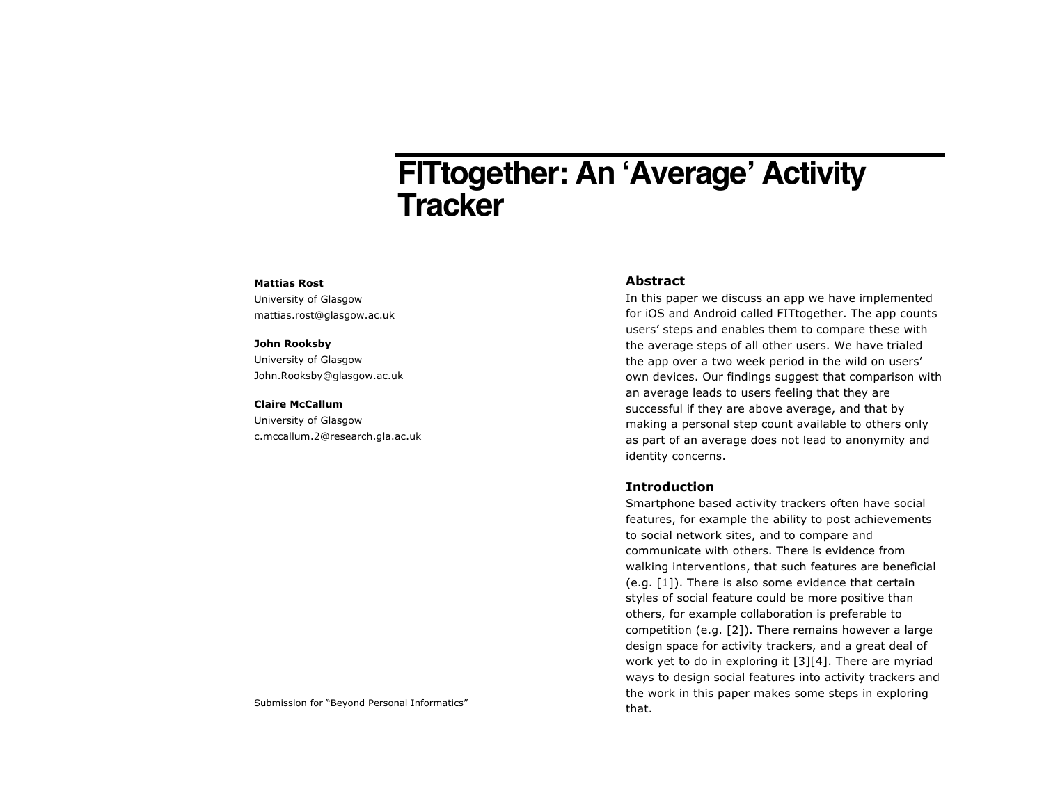# **FITtogether: An 'Average' Activity Tracker**

#### **Mattias Rost**

University of Glasgow mattias.rost@glasgow.ac.uk

#### **John Rooksby**

University of Glasgow John.Rooksby@glasgow.ac.uk

#### **Claire McCallum**

University of Glasgow c.mccallum.2@research.gla.ac.uk

## **Abstract**

In this paper we discuss an app we have implemented for iOS and Android called FITtogether. The app counts users' steps and enables them to compare these with the average steps of all other users. We have trialed the app over a two week period in the wild on users' own devices. Our findings suggest that comparison with an average leads to users feeling that they are successful if they are above average, and that by making a personal step count available to others only as part of an average does not lead to anonymity and identity concerns.

## **Introduction**

Smartphone based activity trackers often have social features, for example the ability to post achievements to social network sites, and to compare and communicate with others. There is evidence from walking interventions, that such features are beneficial (e.g. [1]). There is also some evidence that certain styles of social feature could be more positive than others, for example collaboration is preferable to competition (e.g. [2]). There remains however a large design space for activity trackers, and a great deal of work yet to do in exploring it [3][4]. There are myriad ways to design social features into activity trackers and the work in this paper makes some steps in exploring

Submission for "Beyond Personal Informatics" and the submission for "Beyond Personal Informatics"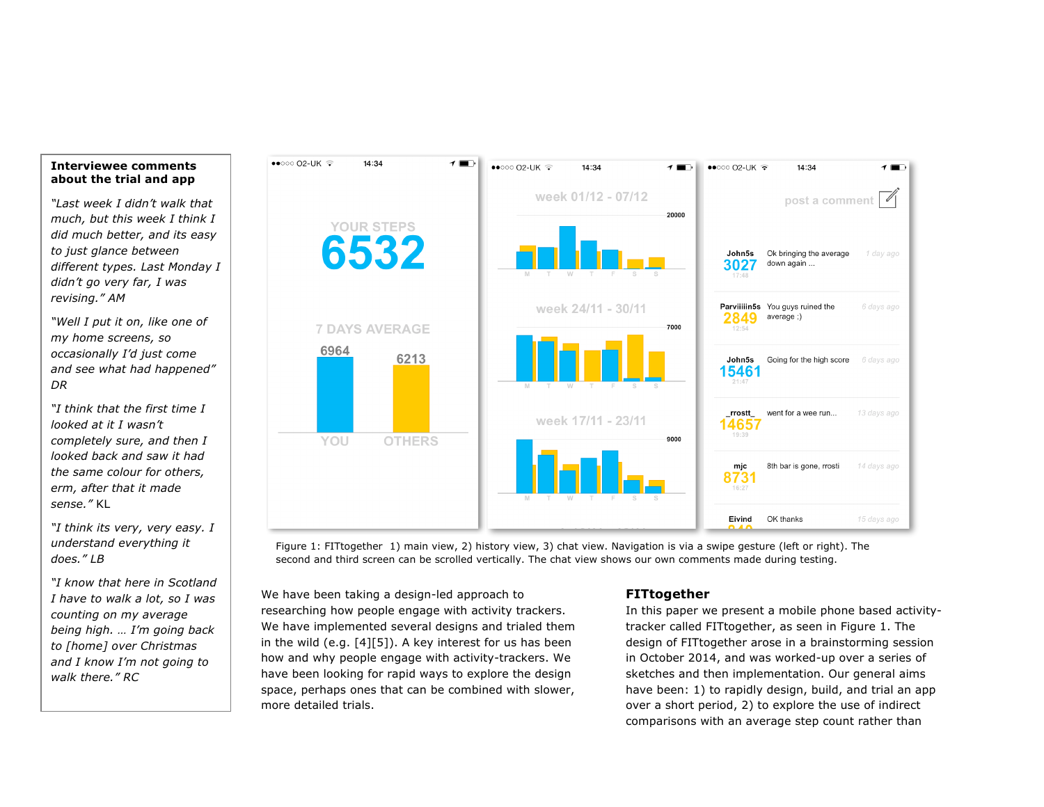## **Interviewee comments about the trial and app**

*"Last week I didn't walk that much, but this week I think I did much better, and its easy to just glance between different types. Last Monday I didn't go very far, I was revising." AM*

*"Well I put it on, like one of my home screens, so occasionally I'd just come and see what had happened" DR*

*"I think that the first time I looked at it I wasn't completely sure, and then I looked back and saw it had the same colour for others, erm, after that it made sense."* KL

*"I think its very, very easy. I understand everything it does." LB*

*"I know that here in Scotland I have to walk a lot, so I was counting on my average being high. … I'm going back to [home] over Christmas and I know I'm not going to walk there." RC*



Figure 1: FITtogether 1) main view, 2) history view, 3) chat view. Navigation is via a swipe gesture (left or right). The second and third screen can be scrolled vertically. The chat view shows our own comments made during testing.

We have been taking a design-led approach to researching how people engage with activity trackers. We have implemented several designs and trialed them in the wild (e.g. [4][5]). A key interest for us has been how and why people engage with activity-trackers. We have been looking for rapid ways to explore the design space, perhaps ones that can be combined with slower, more detailed trials.

## **FITtogether**

In this paper we present a mobile phone based activitytracker called FITtogether, as seen in Figure 1. The design of FITtogether arose in a brainstorming session in October 2014, and was worked-up over a series of sketches and then implementation. Our general aims have been: 1) to rapidly design, build, and trial an app over a short period, 2) to explore the use of indirect comparisons with an average step count rather than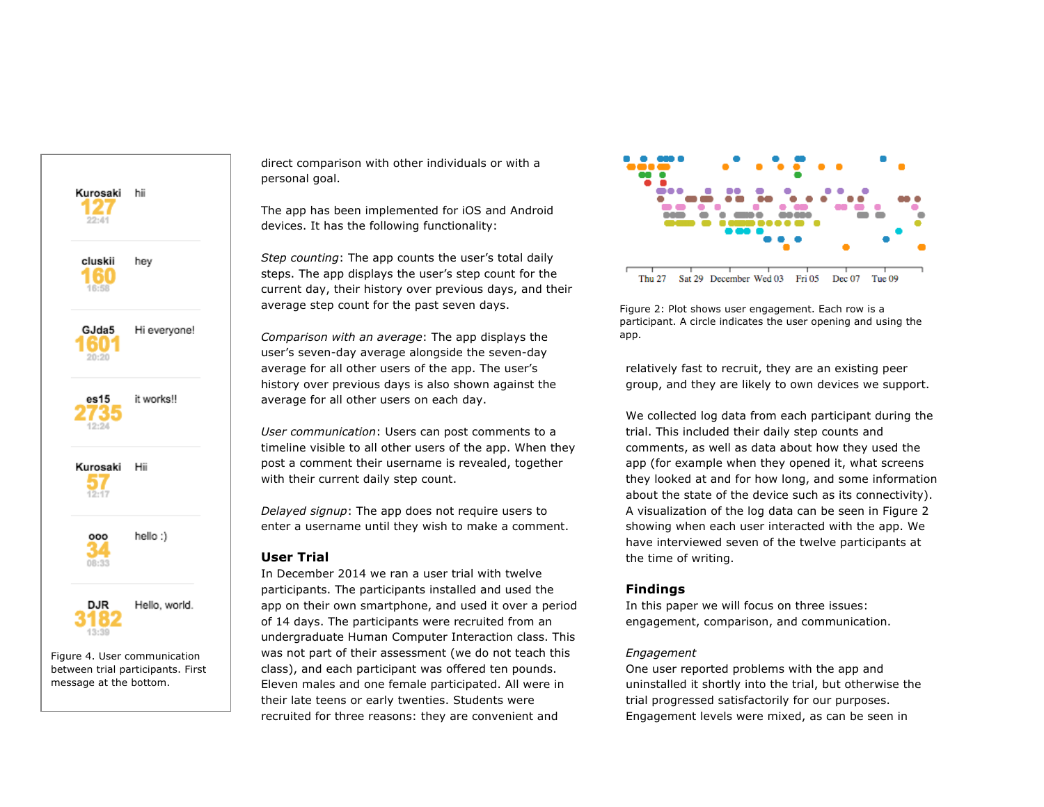

between trial participants. First message at the bottom.

direct comparison with other individuals or with a personal goal.

The app has been implemented for iOS and Android devices. It has the following functionality:

*Step counting*: The app counts the user's total daily steps. The app displays the user's step count for the current day, their history over previous days, and their average step count for the past seven days.

*Comparison with an average*: The app displays the user's seven-day average alongside the seven-day average for all other users of the app. The user's history over previous days is also shown against the average for all other users on each day.

*User communication*: Users can post comments to a timeline visible to all other users of the app. When they post a comment their username is revealed, together with their current daily step count.

*Delayed signup*: The app does not require users to enter a username until they wish to make a comment.

## **User Trial**

In December 2014 we ran a user trial with twelve participants. The participants installed and used the app on their own smartphone, and used it over a period of 14 days. The participants were recruited from an undergraduate Human Computer Interaction class. This was not part of their assessment (we do not teach this class), and each participant was offered ten pounds. Eleven males and one female participated. All were in their late teens or early twenties. Students were recruited for three reasons: they are convenient and



Figure 2: Plot shows user engagement. Each row is a participant. A circle indicates the user opening and using the app.

relatively fast to recruit, they are an existing peer group, and they are likely to own devices we support.

We collected log data from each participant during the trial. This included their daily step counts and comments, as well as data about how they used the app (for example when they opened it, what screens they looked at and for how long, and some information about the state of the device such as its connectivity). A visualization of the log data can be seen in Figure 2 showing when each user interacted with the app. We have interviewed seven of the twelve participants at the time of writing.

## **Findings**

In this paper we will focus on three issues: engagement, comparison, and communication.

#### *Engagement*

One user reported problems with the app and uninstalled it shortly into the trial, but otherwise the trial progressed satisfactorily for our purposes. Engagement levels were mixed, as can be seen in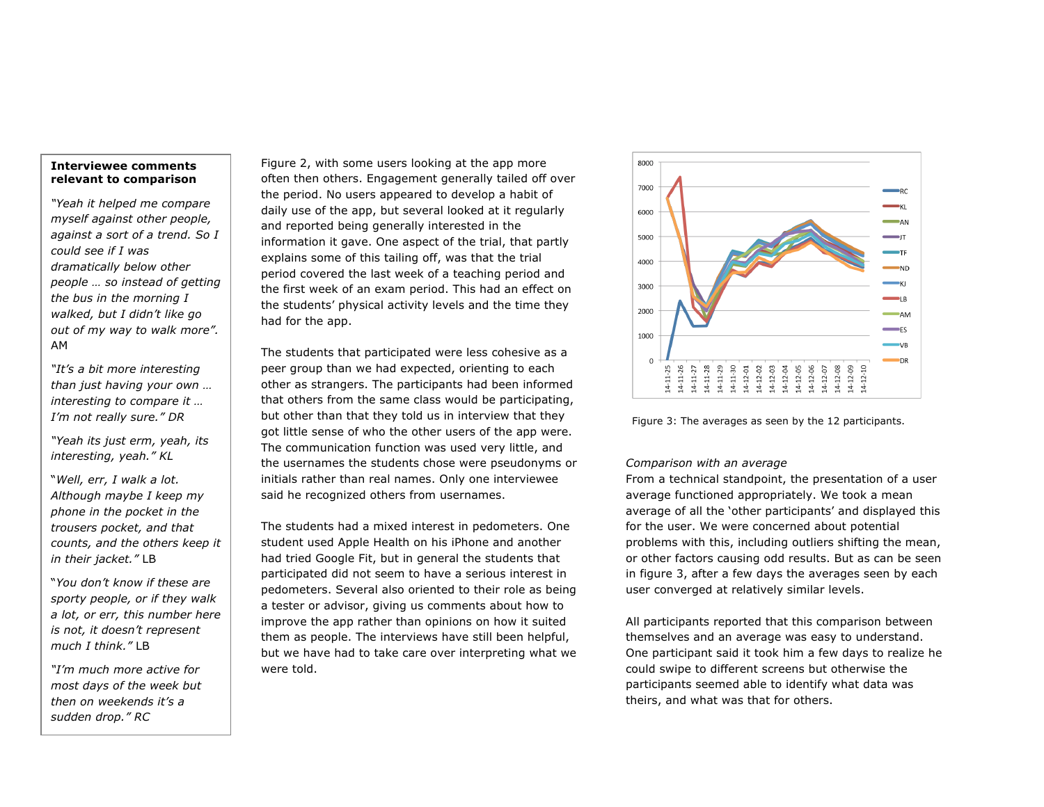## **Interviewee comments relevant to comparison**

*"Yeah it helped me compare myself against other people, against a sort of a trend. So I could see if I was dramatically below other people … so instead of getting the bus in the morning I walked, but I didn't like go out of my way to walk more".* AM

*"It's a bit more interesting than just having your own … interesting to compare it … I'm not really sure." DR*

*"Yeah its just erm, yeah, its interesting, yeah." KL*

"*Well, err, I walk a lot. Although maybe I keep my phone in the pocket in the trousers pocket, and that counts, and the others keep it in their jacket."* LB

"*You don't know if these are sporty people, or if they walk a lot, or err, this number here is not, it doesn't represent much I think."* LB

*"I'm much more active for most days of the week but then on weekends it's a sudden drop." RC*

Figure 2, with some users looking at the app more often then others. Engagement generally tailed off over the period. No users appeared to develop a habit of daily use of the app, but several looked at it regularly and reported being generally interested in the information it gave. One aspect of the trial, that partly explains some of this tailing off, was that the trial period covered the last week of a teaching period and the first week of an exam period. This had an effect on the students' physical activity levels and the time they had for the app.

The students that participated were less cohesive as a peer group than we had expected, orienting to each other as strangers. The participants had been informed that others from the same class would be participating, but other than that they told us in interview that they got little sense of who the other users of the app were. The communication function was used very little, and the usernames the students chose were pseudonyms or initials rather than real names. Only one interviewee said he recognized others from usernames.

The students had a mixed interest in pedometers. One student used Apple Health on his iPhone and another had tried Google Fit, but in general the students that participated did not seem to have a serious interest in pedometers. Several also oriented to their role as being a tester or advisor, giving us comments about how to improve the app rather than opinions on how it suited them as people. The interviews have still been helpful, but we have had to take care over interpreting what we were told.



Figure 3: The averages as seen by the 12 participants.

## *Comparison with an average*

From a technical standpoint, the presentation of a user average functioned appropriately. We took a mean average of all the 'other participants' and displayed this for the user. We were concerned about potential problems with this, including outliers shifting the mean, or other factors causing odd results. But as can be seen in figure 3, after a few days the averages seen by each user converged at relatively similar levels.

All participants reported that this comparison between themselves and an average was easy to understand. One participant said it took him a few days to realize he could swipe to different screens but otherwise the participants seemed able to identify what data was theirs, and what was that for others.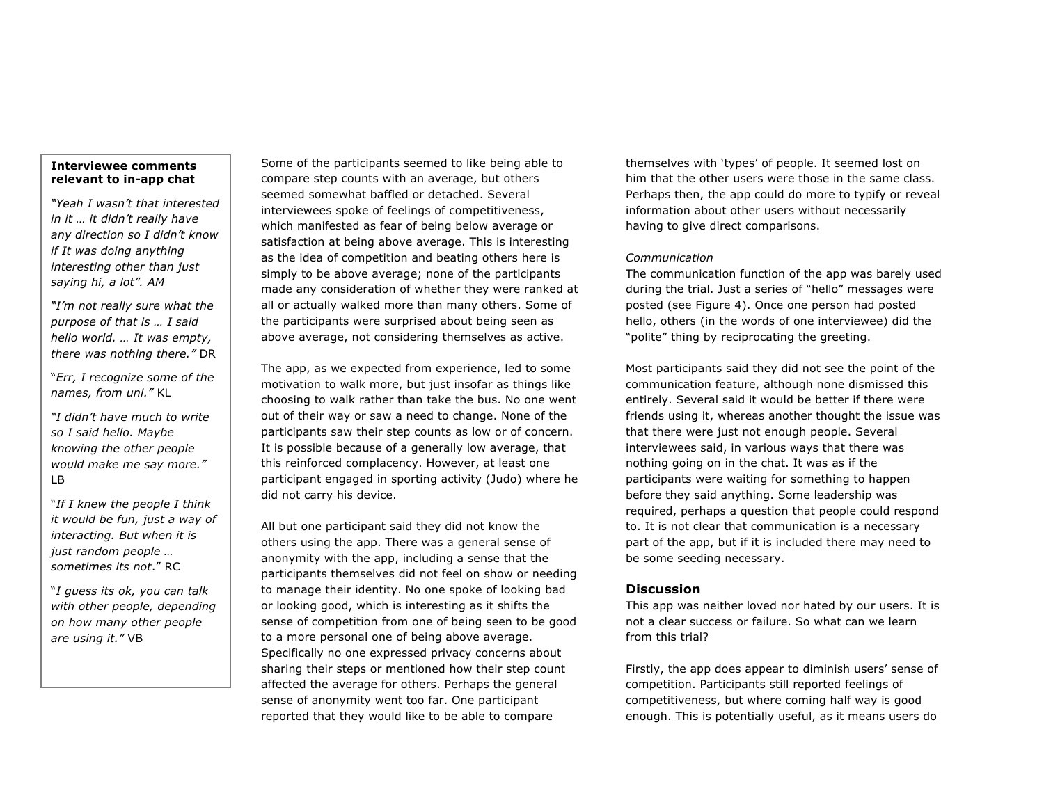## **Interviewee comments relevant to in-app chat**

*"Yeah I wasn't that interested in it … it didn't really have any direction so I didn't know if It was doing anything interesting other than just saying hi, a lot". AM*

*"I'm not really sure what the purpose of that is … I said hello world. … It was empty, there was nothing there."* DR

"*Err, I recognize some of the names, from uni."* KL

*"I didn't have much to write so I said hello. Maybe knowing the other people would make me say more."*  LB

"*If I knew the people I think it would be fun, just a way of interacting. But when it is just random people … sometimes its not*." RC

"*I guess its ok, you can talk with other people, depending on how many other people are using it."* VB

Some of the participants seemed to like being able to compare step counts with an average, but others seemed somewhat baffled or detached. Several interviewees spoke of feelings of competitiveness, which manifested as fear of being below average or satisfaction at being above average. This is interesting as the idea of competition and beating others here is simply to be above average; none of the participants made any consideration of whether they were ranked at all or actually walked more than many others. Some of the participants were surprised about being seen as above average, not considering themselves as active.

The app, as we expected from experience, led to some motivation to walk more, but just insofar as things like choosing to walk rather than take the bus. No one went out of their way or saw a need to change. None of the participants saw their step counts as low or of concern. It is possible because of a generally low average, that this reinforced complacency. However, at least one participant engaged in sporting activity (Judo) where he did not carry his device.

All but one participant said they did not know the others using the app. There was a general sense of anonymity with the app, including a sense that the participants themselves did not feel on show or needing to manage their identity. No one spoke of looking bad or looking good, which is interesting as it shifts the sense of competition from one of being seen to be good to a more personal one of being above average. Specifically no one expressed privacy concerns about sharing their steps or mentioned how their step count affected the average for others. Perhaps the general sense of anonymity went too far. One participant reported that they would like to be able to compare

themselves with 'types' of people. It seemed lost on him that the other users were those in the same class. Perhaps then, the app could do more to typify or reveal information about other users without necessarily having to give direct comparisons.

#### *Communication*

The communication function of the app was barely used during the trial. Just a series of "hello" messages were posted (see Figure 4). Once one person had posted hello, others (in the words of one interviewee) did the "polite" thing by reciprocating the greeting.

Most participants said they did not see the point of the communication feature, although none dismissed this entirely. Several said it would be better if there were friends using it, whereas another thought the issue was that there were just not enough people. Several interviewees said, in various ways that there was nothing going on in the chat. It was as if the participants were waiting for something to happen before they said anything. Some leadership was required, perhaps a question that people could respond to. It is not clear that communication is a necessary part of the app, but if it is included there may need to be some seeding necessary.

## **Discussion**

This app was neither loved nor hated by our users. It is not a clear success or failure. So what can we learn from this trial?

Firstly, the app does appear to diminish users' sense of competition. Participants still reported feelings of competitiveness, but where coming half way is good enough. This is potentially useful, as it means users do